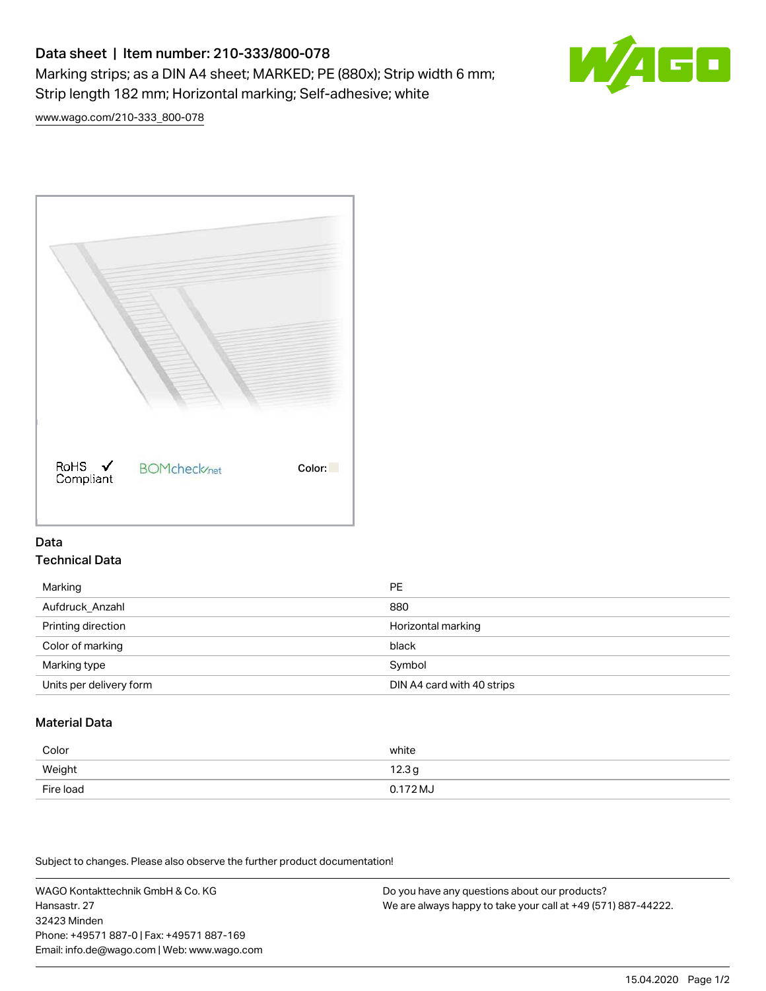# Data sheet | Item number: 210-333/800-078 Marking strips; as a DIN A4 sheet; MARKED; PE (880x); Strip width 6 mm; Strip length 182 mm; Horizontal marking; Self-adhesive; white



[www.wago.com/210-333\\_800-078](http://www.wago.com/210-333_800-078)



### Data Technical Data

| Marking                 | PE                         |
|-------------------------|----------------------------|
| Aufdruck Anzahl         | 880                        |
| Printing direction      | Horizontal marking         |
| Color of marking        | black                      |
| Marking type            | Symbol                     |
| Units per delivery form | DIN A4 card with 40 strips |

## Material Data

| Color     | white               |
|-----------|---------------------|
| Weight    | 12.3g               |
| Fire load | $0.172 \mathrm{MJ}$ |

Subject to changes. Please also observe the further product documentation!

WAGO Kontakttechnik GmbH & Co. KG Hansastr. 27 32423 Minden Phone: +49571 887-0 | Fax: +49571 887-169 Email: info.de@wago.com | Web: www.wago.com

Do you have any questions about our products? We are always happy to take your call at +49 (571) 887-44222.